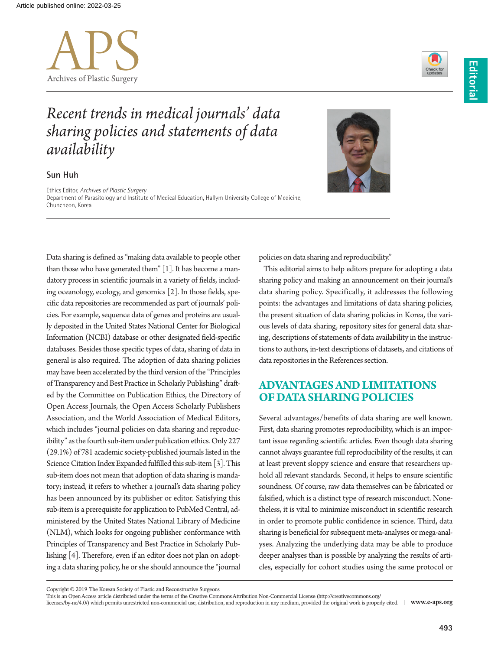



# *Recent trends in medical journals' data sharing policies and statements of data availability*

#### **Sun Huh**

Ethics Editor, *Archives of Plastic Surgery* Department of Parasitology and Institute of Medical Education, Hallym University College of Medicine, Chuncheon, Korea

Data sharing is defined as "making data available to people other than those who have generated them" [1]. It has become a mandatory process in scientific journals in a variety of fields, including oceanology, ecology, and genomics [2]. In those fields, specific data repositories are recommended as part of journals' policies. For example, sequence data of genes and proteins are usually deposited in the United States National Center for Biological Information (NCBI) database or other designated field-specific databases. Besides those specific types of data, sharing of data in general is also required. The adoption of data sharing policies may have been accelerated by the third version of the "Principles of Transparency and Best Practice in Scholarly Publishing" drafted by the Committee on Publication Ethics, the Directory of Open Access Journals, the Open Access Scholarly Publishers Association, and the World Association of Medical Editors, which includes "journal policies on data sharing and reproducibility" as the fourth sub-item under publication ethics. Only 227 (29.1%) of 781 academic society-published journals listed in the Science Citation Index Expanded fulfilled this sub-item [3]. This sub-item does not mean that adoption of data sharing is mandatory; instead, it refers to whether a journal's data sharing policy has been announced by its publisher or editor. Satisfying this sub-item is a prerequisite for application to PubMed Central, administered by the United States National Library of Medicine (NLM), which looks for ongoing publisher conformance with Principles of Transparency and Best Practice in Scholarly Publishing [4]. Therefore, even if an editor does not plan on adopting a data sharing policy, he or she should announce the "journal



policies on data sharing and reproducibility."

This editorial aims to help editors prepare for adopting a data sharing policy and making an announcement on their journal's data sharing policy. Specifically, it addresses the following points: the advantages and limitations of data sharing policies, the present situation of data sharing policies in Korea, the various levels of data sharing, repository sites for general data sharing, descriptions of statements of data availability in the instructions to authors, in-text descriptions of datasets, and citations of data repositories in the References section.

# **ADVANTAGES AND LIMITATIONS OF DATA SHARING POLICIES**

Several advantages/benefits of data sharing are well known. First, data sharing promotes reproducibility, which is an important issue regarding scientific articles. Even though data sharing cannot always guarantee full reproducibility of the results, it can at least prevent sloppy science and ensure that researchers uphold all relevant standards. Second, it helps to ensure scientific soundness. Of course, raw data themselves can be fabricated or falsified, which is a distinct type of research misconduct. Nonetheless, it is vital to minimize misconduct in scientific research in order to promote public confidence in science. Third, data sharing is beneficial for subsequent meta-analyses or mega-analyses. Analyzing the underlying data may be able to produce deeper analyses than is possible by analyzing the results of articles, especially for cohort studies using the same protocol or

Copyright © 2019 The Korean Society of Plastic and Reconstructive Surgeons

This is an Open Access article distributed under the terms of the Creative Commons Attribution Non-Commercial License (http://creativecommons.org/

licenses/by-nc/4.0/) which permits unrestricted non-commercial use, distribution, and reproduction in any medium, provided the original work is properly cited. **www.e-aps.org**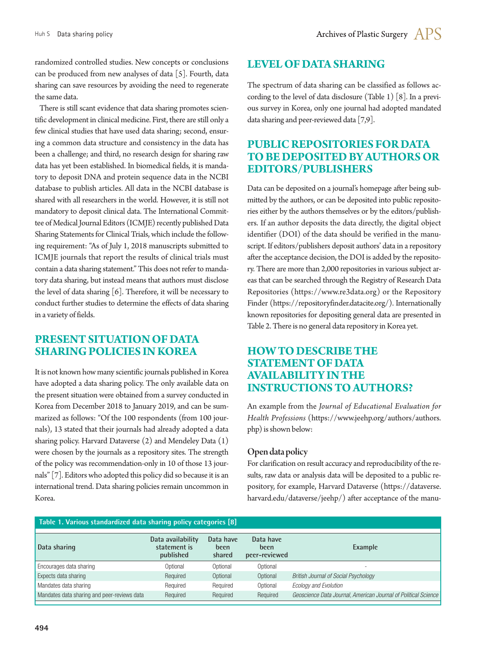randomized controlled studies. New concepts or conclusions can be produced from new analyses of data [5]. Fourth, data sharing can save resources by avoiding the need to regenerate the same data.

There is still scant evidence that data sharing promotes scientific development in clinical medicine. First, there are still only a few clinical studies that have used data sharing; second, ensuring a common data structure and consistency in the data has been a challenge; and third, no research design for sharing raw data has yet been established. In biomedical fields, it is mandatory to deposit DNA and protein sequence data in the NCBI database to publish articles. All data in the NCBI database is shared with all researchers in the world. However, it is still not mandatory to deposit clinical data. The International Committee of Medical Journal Editors (ICMJE) recently published Data Sharing Statements for Clinical Trials, which include the following requirement: "As of July 1, 2018 manuscripts submitted to ICMJE journals that report the results of clinical trials must contain a data sharing statement." This does not refer to mandatory data sharing, but instead means that authors must disclose the level of data sharing [6]. Therefore, it will be necessary to conduct further studies to determine the effects of data sharing in a variety of fields.

# **PRESENT SITUATION OF DATA SHARING POLICIES IN KOREA**

It is not known how many scientific journals published in Korea have adopted a data sharing policy. The only available data on the present situation were obtained from a survey conducted in Korea from December 2018 to January 2019, and can be summarized as follows: "Of the 100 respondents (from 100 journals), 13 stated that their journals had already adopted a data sharing policy. Harvard Dataverse (2) and Mendeley Data (1) were chosen by the journals as a repository sites. The strength of the policy was recommendation-only in 10 of those 13 journals" [7]. Editors who adopted this policy did so because it is an international trend. Data sharing policies remain uncommon in Korea.

# **LEVEL OF DATA SHARING**

The spectrum of data sharing can be classified as follows according to the level of data disclosure (Table 1) [8]. In a previous survey in Korea, only one journal had adopted mandated data sharing and peer-reviewed data [7,9].

# **PUBLIC REPOSITORIES FOR DATA TO BE DEPOSITED BY AUTHORS OR EDITORS/PUBLISHERS**

Data can be deposited on a journal's homepage after being submitted by the authors, or can be deposited into public repositories either by the authors themselves or by the editors/publishers. If an author deposits the data directly, the digital object identifier (DOI) of the data should be verified in the manuscript. If editors/publishers deposit authors' data in a repository after the acceptance decision, the DOI is added by the repository. There are more than 2,000 repositories in various subject areas that can be searched through the Registry of Research Data Repositories (https://www.re3data.org) or the Repository Finder (https://repositoryfinder.datacite.org/). Internationally known repositories for depositing general data are presented in Table 2. There is no general data repository in Korea yet.

# **HOW TO DESCRIBE THE STATEMENT OF DATA AVAILABILITY IN THE INSTRUCTIONS TO AUTHORS?**

An example from the *Journal of Educational Evaluation for Health Professions* (https://www.jeehp.org/authors/authors. php) is shown below:

#### Open data policy

For clarification on result accuracy and reproducibility of the results, raw data or analysis data will be deposited to a public repository, for example, Harvard Dataverse (https://dataverse. harvard.edu/dataverse/jeehp/) after acceptance of the manu-

| Table 1. Various standardized data sharing policy categories [8] |                                                |                             |                                    |                                                                |  |  |
|------------------------------------------------------------------|------------------------------------------------|-----------------------------|------------------------------------|----------------------------------------------------------------|--|--|
| Data sharing                                                     | Data availability<br>statement is<br>published | Data have<br>been<br>shared | Data have<br>been<br>peer-reviewed | Example                                                        |  |  |
| Encourages data sharing                                          | Optional                                       | Optional                    | Optional                           |                                                                |  |  |
| Expects data sharing                                             | Required                                       | Optional                    | Optional                           | <b>British Journal of Social Psychology</b>                    |  |  |
| Mandates data sharing                                            | Reauired                                       | Reauired                    | Optional                           | <b>Ecology and Evolution</b>                                   |  |  |
| Mandates data sharing and peer-reviews data                      | Required                                       | Required                    | Required                           | Geoscience Data Journal, American Journal of Political Science |  |  |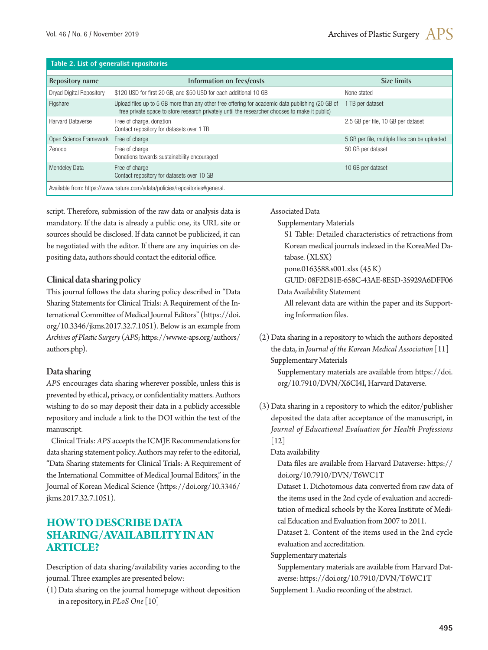#### **Table 2. List of generalist repositories**

| Repository name                                                             | Information on fees/costs                                                                                                                                                                          | <b>Size limits</b>                            |  |  |  |
|-----------------------------------------------------------------------------|----------------------------------------------------------------------------------------------------------------------------------------------------------------------------------------------------|-----------------------------------------------|--|--|--|
| <b>Dryad Digital Repository</b>                                             | \$120 USD for first 20 GB, and \$50 USD for each additional 10 GB                                                                                                                                  | None stated                                   |  |  |  |
| Figshare                                                                    | Upload files up to 5 GB more than any other free offering for academic data publishing (20 GB of<br>free private space to store research privately until the researcher chooses to make it public) | 1 TB per dataset                              |  |  |  |
| <b>Harvard Dataverse</b>                                                    | Free of charge, donation<br>Contact repository for datasets over 1 TB                                                                                                                              | 2.5 GB per file, 10 GB per dataset            |  |  |  |
| Open Science Framework                                                      | Free of charge                                                                                                                                                                                     | 5 GB per file, multiple files can be uploaded |  |  |  |
| Zenodo                                                                      | Free of charge<br>Donations towards sustainability encouraged                                                                                                                                      | 50 GB per dataset                             |  |  |  |
| <b>Mendeley Data</b>                                                        | Free of charge<br>Contact repository for datasets over 10 GB                                                                                                                                       | 10 GB per dataset                             |  |  |  |
| Available from: https://www.nature.com/sdata/policies/repositories#general. |                                                                                                                                                                                                    |                                               |  |  |  |

script. Therefore, submission of the raw data or analysis data is mandatory. If the data is already a public one, its URL site or sources should be disclosed. If data cannot be publicized, it can be negotiated with the editor. If there are any inquiries on depositing data, authors should contact the editorial office.

#### Clinical data sharing policy

This journal follows the data sharing policy described in "Data Sharing Statements for Clinical Trials: A Requirement of the International Committee of Medical Journal Editors" ([https://doi.](https://doi.org/10.3346/jkms.2017.32.7.1051) [org/10.3346/jkms.2017.32.7.1051](https://doi.org/10.3346/jkms.2017.32.7.1051)). Below is an example from *Archives of Plastic Surgery* (*APS*; [https://www.e-aps.org/authors/](https://www.e-aps.org/authors/authors.php) [authors.php](https://www.e-aps.org/authors/authors.php)).

### Data sharing

*APS* encourages data sharing wherever possible, unless this is prevented by ethical, privacy, or confidentiality matters. Authors wishing to do so may deposit their data in a publicly accessible repository and include a link to the DOI within the text of the manuscript.

Clinical Trials: *APS* accepts the ICMJE Recommendations for data sharing statement policy. Authors may refer to the editorial, "Data Sharing statements for Clinical Trials: A Requirement of the International Committee of Medical Journal Editors," in the Journal of Korean Medical Science [\(https://doi.org/10.3346/](https://doi.org/10.3346/jkms.2017.32.7.1051) [jkms.2017.32.7.1051\)](https://doi.org/10.3346/jkms.2017.32.7.1051).

# **HOW TO DESCRIBE DATA SHARING/AVAILABILITY IN AN ARTICLE?**

Description of data sharing/availability varies according to the journal. Three examples are presented below:

(1) Data sharing on the journal homepage without deposition in a repository, in *PLoS One* [10]

#### Associated Data

Supplementary Materials

S1 Table: Detailed characteristics of retractions from Korean medical journals indexed in the KoreaMed Database. (XLSX)

pone.0163588.s001.xlsx (45 K)

GUID: 08F2D81E-658C-43AE-8E5D-35929A6DFF06

Data Availability Statement

All relevant data are within the paper and its Supporting Information files.

(2) Data sharing in a repository to which the authors deposited the data, in *Journal of the Korean Medical Association* [11] Supplementary Materials

Supplementary materials are available from [https://doi.](https://doi.org/10.7910/DVN/X6CI4I) [org/10.7910/DVN/X6CI4I](https://doi.org/10.7910/DVN/X6CI4I), Harvard Dataverse.

(3) Data sharing in a repository to which the editor/publisher deposited the data after acceptance of the manuscript, in *Journal of Educational Evaluation for Health Professions* [12]

Data availability

Data files are available from Harvard Dataverse: [https://](https://doi.org/10.7910/DVN/T6WC1T) [doi.org/10.7910/DVN/T6WC1T](https://doi.org/10.7910/DVN/T6WC1T)

Dataset 1. Dichotomous data converted from raw data of the items used in the 2nd cycle of evaluation and accreditation of medical schools by the Korea Institute of Medical Education and Evaluation from 2007 to 2011.

Dataset 2. Content of the items used in the 2nd cycle evaluation and accreditation.

Supplementary materials

Supplementary materials are available from Harvard Dataverse: https://doi.org/10.7910/DVN/T6WC1T

Supplement 1. Audio recording of the abstract.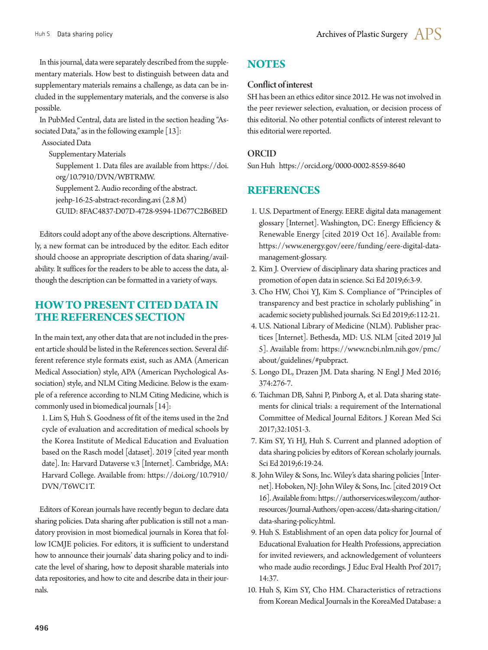In this journal, data were separately described from the supplementary materials. How best to distinguish between data and supplementary materials remains a challenge, as data can be included in the supplementary materials, and the converse is also possible.

In PubMed Central, data are listed in the section heading "Associated Data," as in the following example  $[13]$ :

Associated Data Supplementary Materials Supplement 1. Data files are available from [https://doi.](https://doi.org/10.7910/DVN/WBTRMW) [org/10.7910/DVN/WBTRMW](https://doi.org/10.7910/DVN/WBTRMW). Supplement 2. Audio recording of the abstract. jeehp-16-25-abstract-recording.avi (2.8 M) GUID: 8FAC4837-D07D-4728-9594-1D677C2B6BED

Editors could adopt any of the above descriptions. Alternatively, a new format can be introduced by the editor. Each editor should choose an appropriate description of data sharing/availability. It suffices for the readers to be able to access the data, although the description can be formatted in a variety of ways.

# **HOW TO PRESENT CITED DATA IN THE REFERENCES SECTION**

In the main text, any other data that are not included in the present article should be listed in the References section. Several different reference style formats exist, such as AMA (American Medical Association) style, APA (American Psychological Association) style, and NLM Citing Medicine. Below is the example of a reference according to NLM Citing Medicine, which is commonly used in biomedical journals [14]:

1. Lim S, Huh S. Goodness of fit of the items used in the 2nd cycle of evaluation and accreditation of medical schools by the Korea Institute of Medical Education and Evaluation based on the Rasch model [dataset]. 2019 [cited year month date]. In: Harvard Dataverse v.3 [Internet]. Cambridge, MA: Harvard College. Available from: [https://doi.org/10.7910/](https://doi.org/10.7910/DVN/T6WC1T) [DVN/T6WC1T.](https://doi.org/10.7910/DVN/T6WC1T)

Editors of Korean journals have recently begun to declare data sharing policies. Data sharing after publication is still not a mandatory provision in most biomedical journals in Korea that follow ICMJE policies. For editors, it is sufficient to understand how to announce their journals' data sharing policy and to indicate the level of sharing, how to deposit sharable materials into data repositories, and how to cite and describe data in their journals.

# **NOTES**

#### Conflict of interest

SH has been an ethics editor since 2012. He was not involved in the peer reviewer selection, evaluation, or decision process of this editorial. No other potential conflicts of interest relevant to this editorial were reported.

### ORCID

Sun Huh https://orcid.org/0000-0002-8559-8640

# **REFERENCES**

- 1. U.S. Department of Energy. EERE digital data management glossary [Internet]. Washington, DC: Energy Efficiency & Renewable Energy [cited 2019 Oct 16]. Available from: https://www.energy.gov/eere/funding/eere-digital-datamanagement-glossary.
- 2. Kim J. Overview of disciplinary data sharing practices and promotion of open data in science. Sci Ed 2019;6:3-9.
- 3. Cho HW, Choi YJ, Kim S. Compliance of "Principles of transparency and best practice in scholarly publishing" in academic society published journals. Sci Ed 2019;6:112-21.
- 4. U.S. National Library of Medicine (NLM). Publisher practices [Internet]. Bethesda, MD: U.S. NLM [cited 2019 Jul 5]. Available from: https://www.ncbi.nlm.nih.gov/pmc/ about/guidelines/#pubpract.
- 5. Longo DL, Drazen JM. Data sharing. N Engl J Med 2016; 374:276-7.
- 6. Taichman DB, Sahni P, Pinborg A, et al. Data sharing statements for clinical trials: a requirement of the International Committee of Medical Journal Editors. J Korean Med Sci 2017;32:1051-3.
- 7. Kim SY, Yi HJ, Huh S. Current and planned adoption of data sharing policies by editors of Korean scholarly journals. Sci Ed 2019;6:19-24.
- 8. John Wiley & Sons, Inc. Wiley's data sharing policies [Internet]. Hoboken, NJ: John Wiley & Sons, Inc. [cited 2019 Oct 16]. Available from: [https://authorservices.wiley.com/author](https://authorservices.wiley.com/author-resources/Journal-Authors/open-access/data-sharing-citation/data-sharing-policy.html)[resources/Journal-Authors/open-access/data-sharing-citation/](https://authorservices.wiley.com/author-resources/Journal-Authors/open-access/data-sharing-citation/data-sharing-policy.html) [data-sharing-policy.html](https://authorservices.wiley.com/author-resources/Journal-Authors/open-access/data-sharing-citation/data-sharing-policy.html).
- 9. Huh S. Establishment of an open data policy for Journal of Educational Evaluation for Health Professions, appreciation for invited reviewers, and acknowledgement of volunteers who made audio recordings. J Educ Eval Health Prof 2017; 14:37.
- 10. Huh S, Kim SY, Cho HM. Characteristics of retractions from Korean Medical Journals in the KoreaMed Database: a